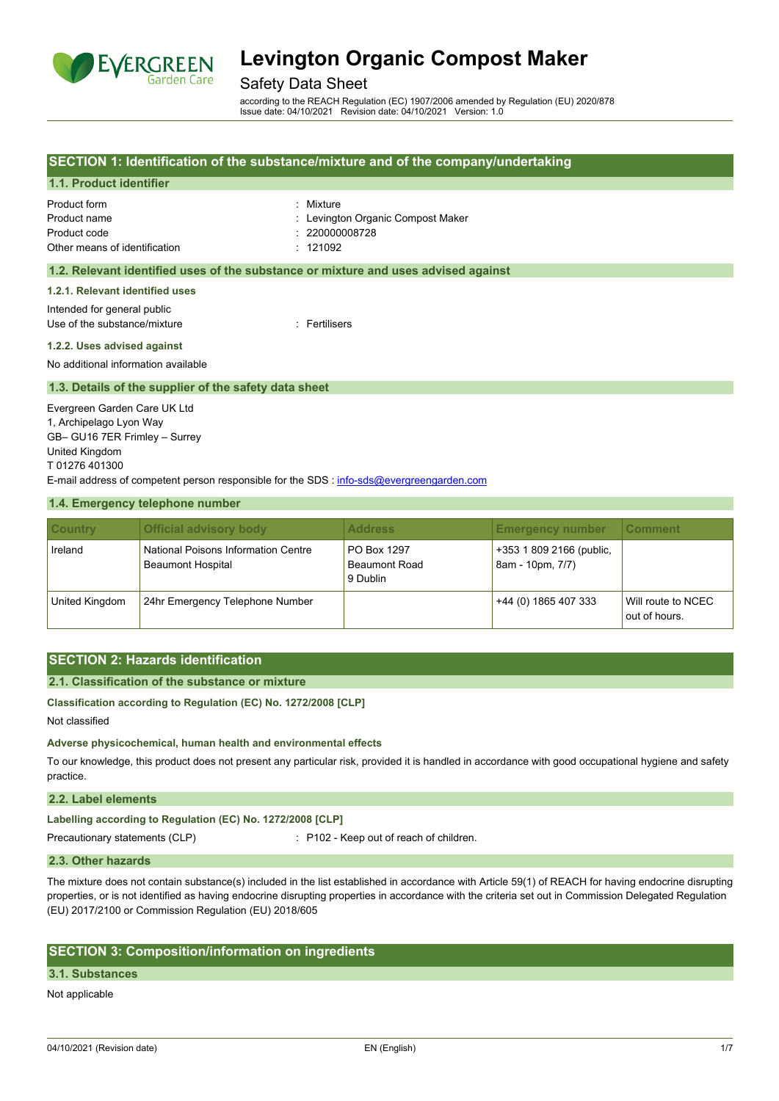

## Safety Data Sheet

according to the REACH Regulation (EC) 1907/2006 amended by Regulation (EU) 2020/878 Issue date: 04/10/2021 Revision date: 04/10/2021 Version: 1.0

## **SECTION 1: Identification of the substance/mixture and of the company/undertaking**

## **1.1. Product identifier**

| Product form                  | : Mixture                         |
|-------------------------------|-----------------------------------|
| Product name                  | : Levington Organic Compost Maker |
| Product code                  | : 2200000008728                   |
| Other means of identification | : 121092                          |

### **1.2. Relevant identified uses of the substance or mixture and uses advised against**

**1.2.1. Relevant identified uses**

Intended for general public Use of the substance/mixture in the substance of the substance of the substance of the substance of the substance of the substance of the substance of the substance of the substance of the substance of the substance of the

#### **1.2.2. Uses advised against**

No additional information available

#### **1.3. Details of the supplier of the safety data sheet**

Evergreen Garden Care UK Ltd 1, Archipelago Lyon Way GB– GU16 7ER Frimley – Surrey United Kingdom T 01276 401300 E-mail address of competent person responsible for the SDS : [info-sds@evergreengarden.com](mailto:info-sds@evergreengarden.com)

#### **1.4. Emergency telephone number**

| <b>Country</b> | <b>Official advisory body</b>                                   | <b>Address</b>                                  | <b>Emergency number</b>                      | ∣Comment∶                           |
|----------------|-----------------------------------------------------------------|-------------------------------------------------|----------------------------------------------|-------------------------------------|
| Ireland        | National Poisons Information Centre<br><b>Beaumont Hospital</b> | PO Box 1297<br><b>Beaumont Road</b><br>9 Dublin | +353 1 809 2166 (public,<br>8am - 10pm, 7/7) |                                     |
| United Kingdom | 24hr Emergency Telephone Number                                 |                                                 | +44 (0) 1865 407 333                         | Will route to NCEC<br>out of hours. |

## **SECTION 2: Hazards identification**

#### **2.1. Classification of the substance or mixture**

**Classification according to Regulation (EC) No. 1272/2008 [CLP]**

Not classified

**Adverse physicochemical, human health and environmental effects**

To our knowledge, this product does not present any particular risk, provided it is handled in accordance with good occupational hygiene and safety practice.

## **2.2. Label elements**

**Labelling according to Regulation (EC) No. 1272/2008 [CLP]**

Precautionary statements (CLP) : P102 - Keep out of reach of children.

#### **2.3. Other hazards**

The mixture does not contain substance(s) included in the list established in accordance with Article 59(1) of REACH for having endocrine disrupting properties, or is not identified as having endocrine disrupting properties in accordance with the criteria set out in Commission Delegated Regulation (EU) 2017/2100 or Commission Regulation (EU) 2018/605

## **SECTION 3: Composition/information on ingredients**

#### **3.1. Substances**

Not applicable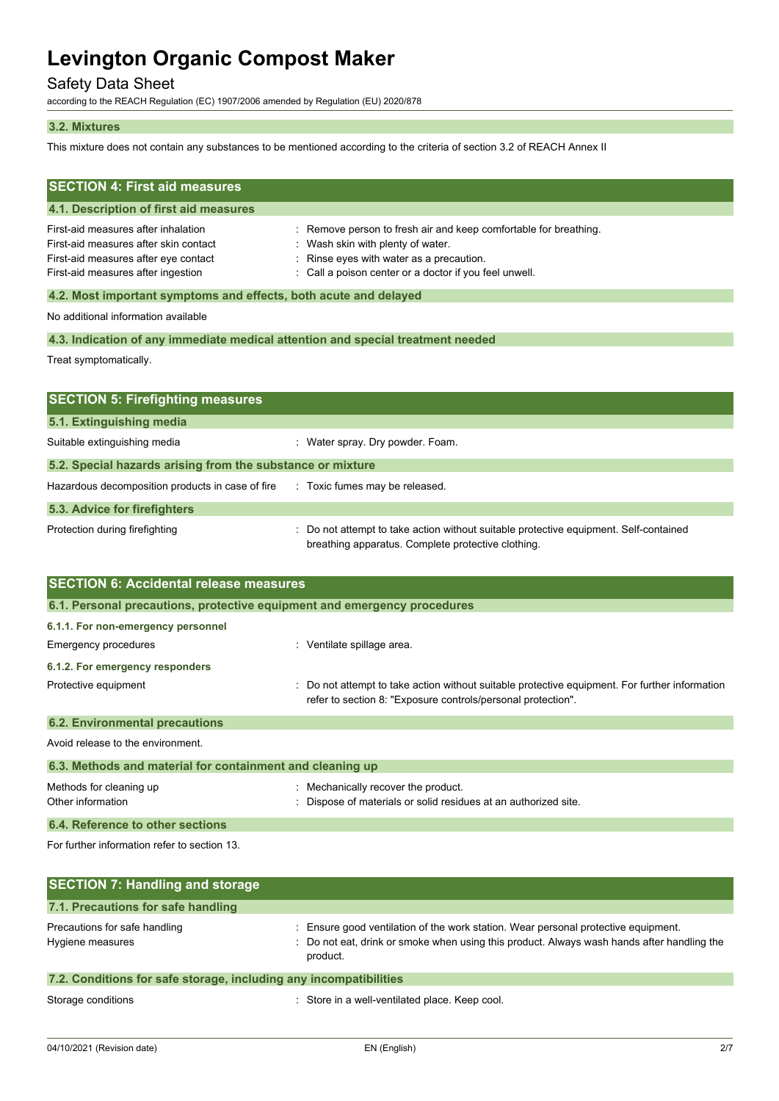# Safety Data Sheet

according to the REACH Regulation (EC) 1907/2006 amended by Regulation (EU) 2020/878

### **3.2. Mixtures**

This mixture does not contain any substances to be mentioned according to the criteria of section 3.2 of REACH Annex II

| <b>SECTION 4: First aid measures</b><br>4.1. Description of first aid measures                                                                             |                                                                                                                                                                                                       |  |  |
|------------------------------------------------------------------------------------------------------------------------------------------------------------|-------------------------------------------------------------------------------------------------------------------------------------------------------------------------------------------------------|--|--|
| First-aid measures after inhalation<br>First-aid measures after skin contact<br>First-aid measures after eye contact<br>First-aid measures after ingestion | Remove person to fresh air and keep comfortable for breathing.<br>: Wash skin with plenty of water.<br>Rinse eyes with water as a precaution.<br>Call a poison center or a doctor if you feel unwell. |  |  |
| 4.2. Most important symptoms and effects, both acute and delayed                                                                                           |                                                                                                                                                                                                       |  |  |
| No additional information available                                                                                                                        |                                                                                                                                                                                                       |  |  |
| 4.3. Indication of any immediate medical attention and special treatment needed                                                                            |                                                                                                                                                                                                       |  |  |
| Treat symptomatically.                                                                                                                                     |                                                                                                                                                                                                       |  |  |
|                                                                                                                                                            |                                                                                                                                                                                                       |  |  |
| <b>SECTION 5: Firefighting measures</b>                                                                                                                    |                                                                                                                                                                                                       |  |  |
| 5.1. Extinguishing media                                                                                                                                   |                                                                                                                                                                                                       |  |  |
| Suitable extinguishing media                                                                                                                               | : Water spray. Dry powder. Foam.                                                                                                                                                                      |  |  |
| 5.2. Special hazards arising from the substance or mixture                                                                                                 |                                                                                                                                                                                                       |  |  |
| Hazardous decomposition products in case of fire                                                                                                           | : Toxic fumes may be released.                                                                                                                                                                        |  |  |
| 5.3. Advice for firefighters                                                                                                                               |                                                                                                                                                                                                       |  |  |
| Protection during firefighting                                                                                                                             | Do not attempt to take action without suitable protective equipment. Self-contained<br>breathing apparatus. Complete protective clothing.                                                             |  |  |
| <b>SECTION 6: Accidental release measures</b>                                                                                                              |                                                                                                                                                                                                       |  |  |

| 6.1. Personal precautions, protective equipment and emergency procedures |                                                                                                                                                                |  |
|--------------------------------------------------------------------------|----------------------------------------------------------------------------------------------------------------------------------------------------------------|--|
| 6.1.1. For non-emergency personnel                                       |                                                                                                                                                                |  |
| Emergency procedures                                                     | Ventilate spillage area.                                                                                                                                       |  |
| 6.1.2. For emergency responders                                          |                                                                                                                                                                |  |
| Protective equipment                                                     | : Do not attempt to take action without suitable protective equipment. For further information<br>refer to section 8: "Exposure controls/personal protection". |  |
| <b>6.2. Environmental precautions</b>                                    |                                                                                                                                                                |  |
|                                                                          |                                                                                                                                                                |  |

Avoid release to the environment.

| 6.3. Methods and material for containment and cleaning up |                                                                                                      |  |
|-----------------------------------------------------------|------------------------------------------------------------------------------------------------------|--|
| Methods for cleaning up<br>Other information              | Mechanically recover the product.<br>: Dispose of materials or solid residues at an authorized site. |  |
| 6.4. Reference to other sections                          |                                                                                                      |  |

For further information refer to section 13.

| <b>SECTION 7: Handling and storage</b>                            |                                                                                                                                                                                              |
|-------------------------------------------------------------------|----------------------------------------------------------------------------------------------------------------------------------------------------------------------------------------------|
| 7.1. Precautions for safe handling                                |                                                                                                                                                                                              |
| Precautions for safe handling<br>Hygiene measures                 | : Ensure good ventilation of the work station. Wear personal protective equipment.<br>: Do not eat, drink or smoke when using this product. Always wash hands after handling the<br>product. |
| 7.2. Conditions for safe storage, including any incompatibilities |                                                                                                                                                                                              |

Storage conditions **Storage conditions** : Store in a well-ventilated place. Keep cool.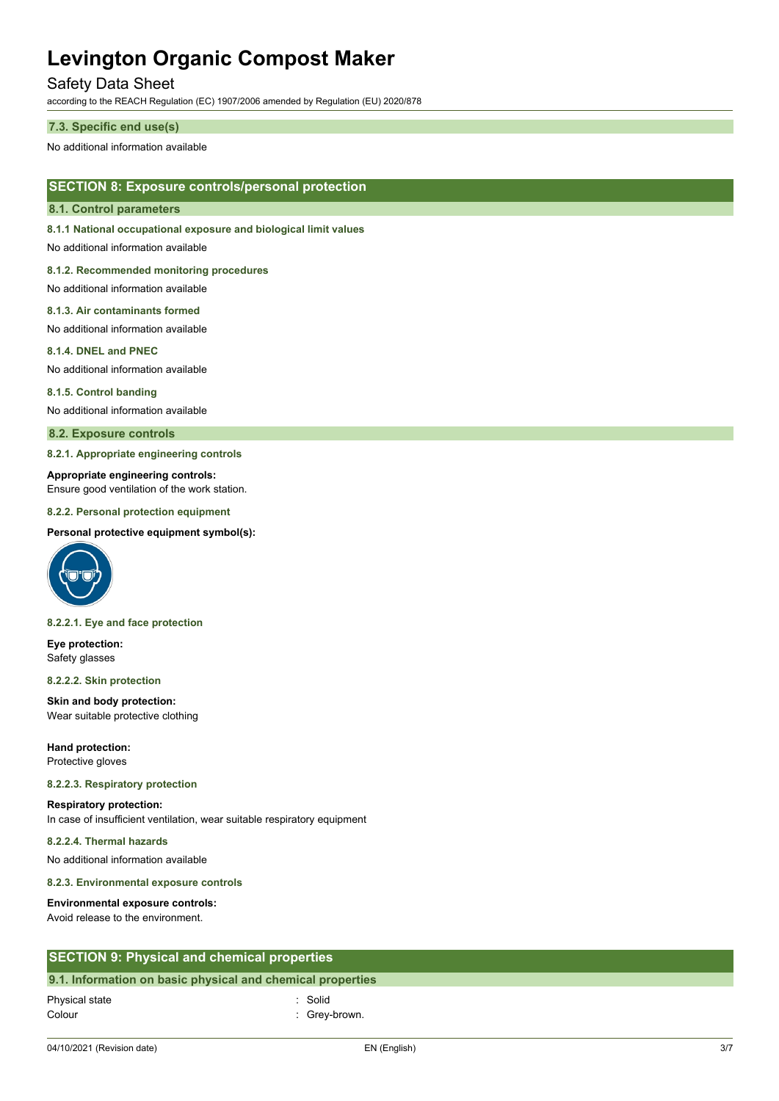# Safety Data Sheet

according to the REACH Regulation (EC) 1907/2006 amended by Regulation (EU) 2020/878

#### **7.3. Specific end use(s)**

No additional information available

## **SECTION 8: Exposure controls/personal protection**

#### **8.1. Control parameters**

**8.1.1 National occupational exposure and biological limit values**

No additional information available

**8.1.2. Recommended monitoring procedures**

No additional information available

#### **8.1.3. Air contaminants formed**

No additional information available

#### **8.1.4. DNEL and PNEC**

No additional information available

#### **8.1.5. Control banding**

No additional information available

#### **8.2. Exposure controls**

**8.2.1. Appropriate engineering controls**

#### **Appropriate engineering controls:**

Ensure good ventilation of the work station.

#### **8.2.2. Personal protection equipment**

#### **Personal protective equipment symbol(s):**



#### **8.2.2.1. Eye and face protection**

**Eye protection:** Safety glasses

#### **8.2.2.2. Skin protection**

**Skin and body protection:** Wear suitable protective clothing

**Hand protection:** Protective gloves

#### **8.2.2.3. Respiratory protection**

# **Respiratory protection:**

In case of insufficient ventilation, wear suitable respiratory equipment

### **8.2.2.4. Thermal hazards**

No additional information available

**8.2.3. Environmental exposure controls**

#### **Environmental exposure controls:**

Avoid release to the environment.

## **SECTION 9: Physical and chemical properties**

## **9.1. Information on basic physical and chemical properties**

04/10/2021 (Revision date) EN (English) 3/7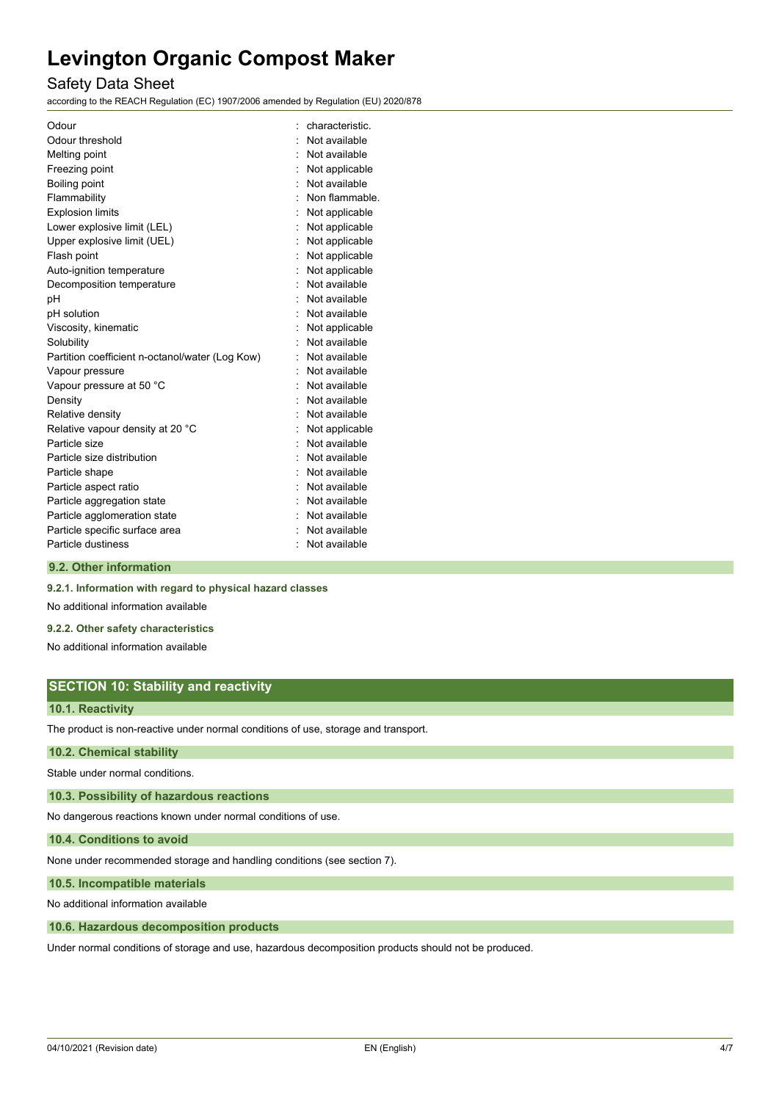# Safety Data Sheet

according to the REACH Regulation (EC) 1907/2006 amended by Regulation (EU) 2020/878

| Odour                                           | characteristic. |
|-------------------------------------------------|-----------------|
| Odour threshold                                 | Not available   |
| Melting point                                   | Not available   |
| Freezing point                                  | Not applicable  |
| Boiling point                                   | Not available   |
| Flammability                                    | Non flammable.  |
| <b>Explosion limits</b>                         | Not applicable  |
| Lower explosive limit (LEL)                     | Not applicable  |
| Upper explosive limit (UEL)                     | Not applicable  |
| Flash point                                     | Not applicable  |
| Auto-ignition temperature                       | Not applicable  |
| Decomposition temperature                       | Not available   |
| pH                                              | Not available   |
| pH solution                                     | Not available   |
| Viscosity, kinematic                            | Not applicable  |
| Solubility                                      | Not available   |
| Partition coefficient n-octanol/water (Log Kow) | Not available   |
| Vapour pressure                                 | Not available   |
| Vapour pressure at 50 °C                        | Not available   |
| Density                                         | Not available   |
| Relative density                                | Not available   |
| Relative vapour density at 20 °C                | Not applicable  |
| Particle size                                   | Not available   |
| Particle size distribution                      | Not available   |
| Particle shape                                  | Not available   |
| Particle aspect ratio                           | Not available   |
| Particle aggregation state                      | : Not available |
| Particle agglomeration state                    | Not available   |
| Particle specific surface area                  | Not available   |
| Particle dustiness                              | Not available   |
|                                                 |                 |

#### **9.2. Other information**

**9.2.1. Information with regard to physical hazard classes**

No additional information available

#### **9.2.2. Other safety characteristics**

No additional information available

# **SECTION 10: Stability and reactivity**

## **10.1. Reactivity**

The product is non-reactive under normal conditions of use, storage and transport.

## **10.2. Chemical stability**

Stable under normal conditions.

**10.3. Possibility of hazardous reactions**

No dangerous reactions known under normal conditions of use.

**10.4. Conditions to avoid**

None under recommended storage and handling conditions (see section 7).

**10.5. Incompatible materials**

No additional information available

#### **10.6. Hazardous decomposition products**

Under normal conditions of storage and use, hazardous decomposition products should not be produced.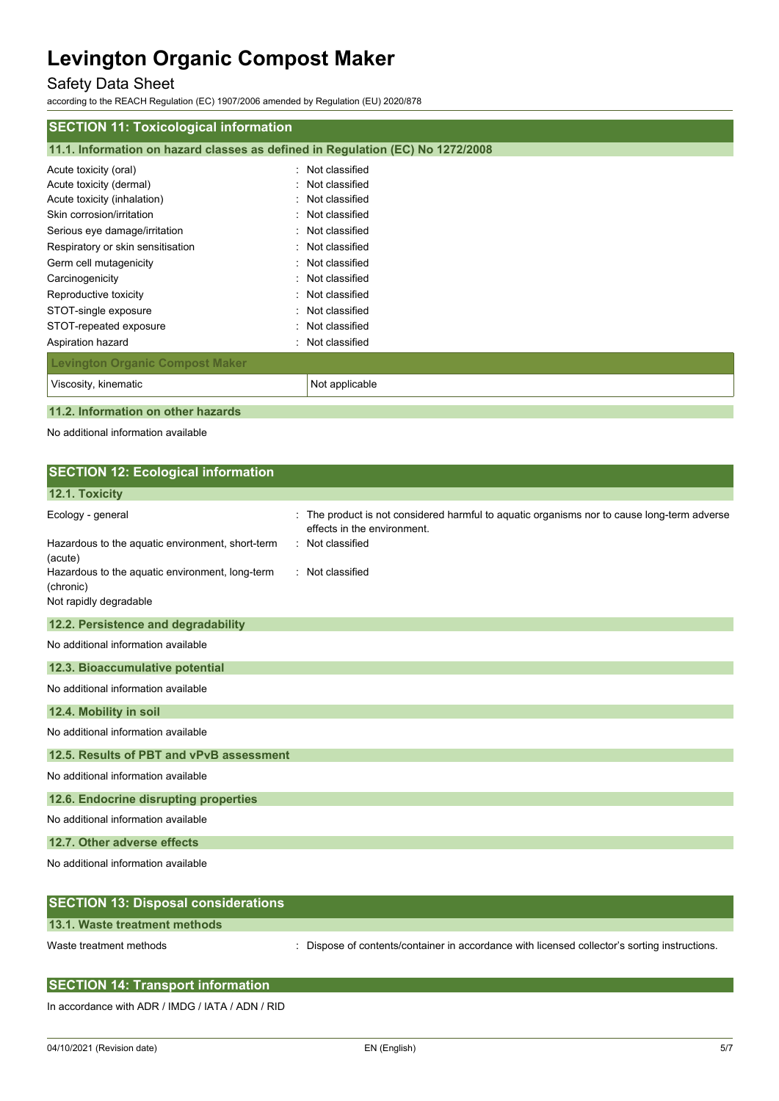# Safety Data Sheet

according to the REACH Regulation (EC) 1907/2006 amended by Regulation (EU) 2020/878

| <b>SECTION 11: Toxicological information</b> |                                                                                |  |  |
|----------------------------------------------|--------------------------------------------------------------------------------|--|--|
|                                              | 11.1. Information on hazard classes as defined in Regulation (EC) No 1272/2008 |  |  |
| Acute toxicity (oral)                        | : Not classified                                                               |  |  |
| Acute toxicity (dermal)                      | : Not classified                                                               |  |  |
| Acute toxicity (inhalation)                  | : Not classified                                                               |  |  |
| Skin corrosion/irritation                    | : Not classified                                                               |  |  |
| Serious eye damage/irritation                | : Not classified                                                               |  |  |
| Respiratory or skin sensitisation            | : Not classified                                                               |  |  |
| Germ cell mutagenicity                       | : Not classified                                                               |  |  |
| Carcinogenicity                              | : Not classified                                                               |  |  |
| Reproductive toxicity                        | : Not classified                                                               |  |  |
| STOT-single exposure                         | : Not classified                                                               |  |  |
| STOT-repeated exposure                       | : Not classified                                                               |  |  |
| Aspiration hazard                            | : Not classified                                                               |  |  |
| <b>Levington Organic Compost Maker</b>       |                                                                                |  |  |
| Viscosity, kinematic                         | Not applicable                                                                 |  |  |
|                                              |                                                                                |  |  |

**11.2. Information on other hazards**

| <b>SECTION 12: Ecological information</b>                    |                                                                                                                          |
|--------------------------------------------------------------|--------------------------------------------------------------------------------------------------------------------------|
| 12.1. Toxicity                                               |                                                                                                                          |
| Ecology - general                                            | The product is not considered harmful to aquatic organisms nor to cause long-term adverse<br>effects in the environment. |
| Hazardous to the aquatic environment, short-term<br>(acute)  | : Not classified                                                                                                         |
| Hazardous to the aquatic environment, long-term<br>(chronic) | : Not classified                                                                                                         |
| Not rapidly degradable                                       |                                                                                                                          |
| 12.2. Persistence and degradability                          |                                                                                                                          |
| No additional information available                          |                                                                                                                          |
| 12.3. Bioaccumulative potential                              |                                                                                                                          |
| No additional information available                          |                                                                                                                          |
| 12.4. Mobility in soil                                       |                                                                                                                          |
| No additional information available                          |                                                                                                                          |
| 12.5. Results of PBT and vPvB assessment                     |                                                                                                                          |
| No additional information available                          |                                                                                                                          |
| 12.6. Endocrine disrupting properties                        |                                                                                                                          |
| No additional information available                          |                                                                                                                          |
| 12.7. Other adverse effects                                  |                                                                                                                          |
| No additional information available                          |                                                                                                                          |
| <b>SECTION 13: Disposal considerations</b>                   |                                                                                                                          |

| [SECTION 13: Disposal considerations] |                                                                                             |
|---------------------------------------|---------------------------------------------------------------------------------------------|
| 13.1. Waste treatment methods         |                                                                                             |
| Waste treatment methods               | Dispose of contents/container in accordance with licensed collector's sorting instructions. |

| <b>SECTION 14: Transport information</b> |  |
|------------------------------------------|--|
|                                          |  |

In accordance with ADR / IMDG / IATA / ADN / RID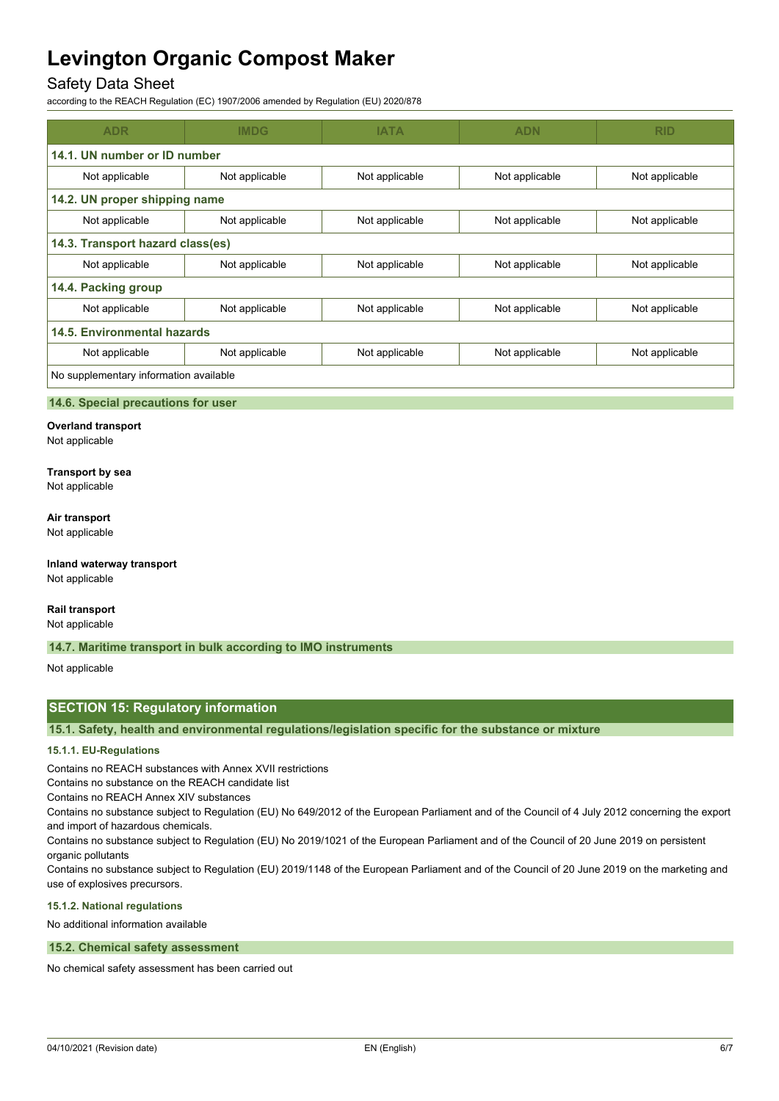# Safety Data Sheet

according to the REACH Regulation (EC) 1907/2006 amended by Regulation (EU) 2020/878

| <b>ADR</b>                             | <b>IMDG</b>    | <b>IATA</b>    | <b>ADN</b>     | <b>RID</b>     |
|----------------------------------------|----------------|----------------|----------------|----------------|
| 14.1. UN number or ID number           |                |                |                |                |
| Not applicable                         | Not applicable | Not applicable | Not applicable | Not applicable |
| 14.2. UN proper shipping name          |                |                |                |                |
| Not applicable                         | Not applicable | Not applicable | Not applicable | Not applicable |
| 14.3. Transport hazard class(es)       |                |                |                |                |
| Not applicable                         | Not applicable | Not applicable | Not applicable | Not applicable |
| 14.4. Packing group                    |                |                |                |                |
| Not applicable                         | Not applicable | Not applicable | Not applicable | Not applicable |
| 14.5. Environmental hazards            |                |                |                |                |
| Not applicable                         | Not applicable | Not applicable | Not applicable | Not applicable |
| No supplementary information available |                |                |                |                |

### **14.6. Special precautions for user**

**Overland transport** Not applicable

# **Transport by sea**

Not applicable

## **Air transport**

Not applicable

#### **Inland waterway transport** Not applicable

# **Rail transport**

Not applicable

### **14.7. Maritime transport in bulk according to IMO instruments**

Not applicable

# **SECTION 15: Regulatory information**

**15.1. Safety, health and environmental regulations/legislation specific for the substance or mixture**

### **15.1.1. EU-Regulations**

Contains no REACH substances with Annex XVII restrictions

Contains no substance on the REACH candidate list

Contains no REACH Annex XIV substances

Contains no substance subject to Regulation (EU) No 649/2012 of the European Parliament and of the Council of 4 July 2012 concerning the export and import of hazardous chemicals.

Contains no substance subject to Regulation (EU) No 2019/1021 of the European Parliament and of the Council of 20 June 2019 on persistent organic pollutants

Contains no substance subject to Regulation (EU) 2019/1148 of the European Parliament and of the Council of 20 June 2019 on the marketing and use of explosives precursors.

## **15.1.2. National regulations**

No additional information available

#### **15.2. Chemical safety assessment**

No chemical safety assessment has been carried out